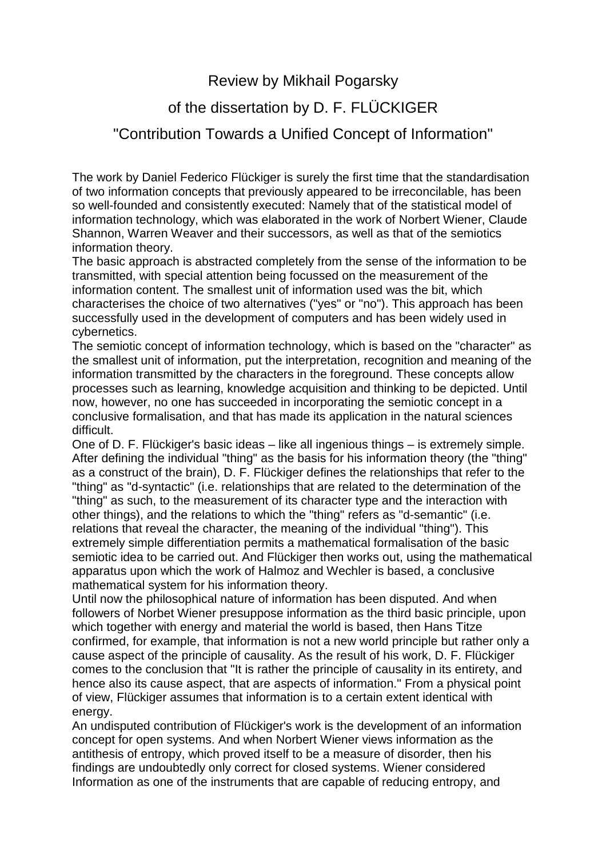Review by Mikhail Pogarsky

## of the dissertation by D. F. FLÜCKIGER

## "Contribution Towards a Unified Concept of Information"

The work by Daniel Federico Flückiger is surely the first time that the standardisation of two information concepts that previously appeared to be irreconcilable, has been so well-founded and consistently executed: Namely that of the statistical model of information technology, which was elaborated in the work of Norbert Wiener, Claude Shannon, Warren Weaver and their successors, as well as that of the semiotics information theory.

The basic approach is abstracted completely from the sense of the information to be transmitted, with special attention being focussed on the measurement of the information content. The smallest unit of information used was the bit, which characterises the choice of two alternatives ("yes" or "no"). This approach has been successfully used in the development of computers and has been widely used in cybernetics.

The semiotic concept of information technology, which is based on the "character" as the smallest unit of information, put the interpretation, recognition and meaning of the information transmitted by the characters in the foreground. These concepts allow processes such as learning, knowledge acquisition and thinking to be depicted. Until now, however, no one has succeeded in incorporating the semiotic concept in a conclusive formalisation, and that has made its application in the natural sciences difficult.

One of D. F. Flückiger's basic ideas – like all ingenious things – is extremely simple. After defining the individual "thing" as the basis for his information theory (the "thing" as a construct of the brain), D. F. Flückiger defines the relationships that refer to the "thing" as "d-syntactic" (i.e. relationships that are related to the determination of the "thing" as such, to the measurement of its character type and the interaction with other things), and the relations to which the "thing" refers as "d-semantic" (i.e. relations that reveal the character, the meaning of the individual "thing"). This extremely simple differentiation permits a mathematical formalisation of the basic semiotic idea to be carried out. And Flückiger then works out, using the mathematical apparatus upon which the work of Halmoz and Wechler is based, a conclusive mathematical system for his information theory.

Until now the philosophical nature of information has been disputed. And when followers of Norbet Wiener presuppose information as the third basic principle, upon which together with energy and material the world is based, then Hans Titze confirmed, for example, that information is not a new world principle but rather only a cause aspect of the principle of causality. As the result of his work, D. F. Flückiger comes to the conclusion that "It is rather the principle of causality in its entirety, and hence also its cause aspect, that are aspects of information." From a physical point of view, Flückiger assumes that information is to a certain extent identical with energy.

An undisputed contribution of Flückiger's work is the development of an information concept for open systems. And when Norbert Wiener views information as the antithesis of entropy, which proved itself to be a measure of disorder, then his findings are undoubtedly only correct for closed systems. Wiener considered Information as one of the instruments that are capable of reducing entropy, and